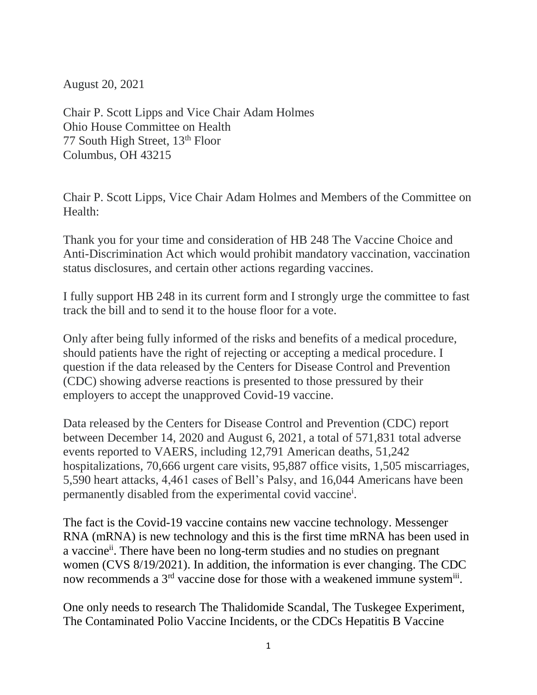August 20, 2021

Chair P. Scott Lipps and Vice Chair Adam Holmes Ohio House Committee on Health 77 South High Street, 13<sup>th</sup> Floor Columbus, OH 43215

Chair P. Scott Lipps, Vice Chair Adam Holmes and Members of the Committee on Health:

Thank you for your time and consideration of HB 248 The Vaccine Choice and Anti-Discrimination Act which would prohibit mandatory vaccination, vaccination status disclosures, and certain other actions regarding vaccines.

I fully support HB 248 in its current form and I strongly urge the committee to fast track the bill and to send it to the house floor for a vote.

Only after being fully informed of the risks and benefits of a medical procedure, should patients have the right of rejecting or accepting a medical procedure. I question if the data released by the Centers for Disease Control and Prevention (CDC) showing adverse reactions is presented to those pressured by their employers to accept the unapproved Covid-19 vaccine.

Data released by the Centers for Disease Control and Prevention (CDC) report between December 14, 2020 and August 6, 2021, a total of 571,831 total adverse events reported to VAERS, including 12,791 American deaths, 51,242 hospitalizations, 70,666 urgent care visits, 95,887 office visits, 1,505 miscarriages, 5,590 heart attacks, 4,461 cases of Bell's Palsy, and 16,044 Americans have been permanently disabled from the experimental covid vaccine<sup>i</sup>.

The fact is the Covid-19 vaccine contains new vaccine technology. Messenger RNA (mRNA) is new technology and this is the first time mRNA has been used in a vaccine<sup>ii</sup>. There have been no long-term studies and no studies on pregnant women (CVS 8/19/2021). In addition, the information is ever changing. The CDC now recommends a  $3<sup>rd</sup>$  vaccine dose for those with a weakened immune system<sup>iii</sup>.

One only needs to research The Thalidomide Scandal, The Tuskegee Experiment, The Contaminated Polio Vaccine Incidents, or the CDCs Hepatitis B Vaccine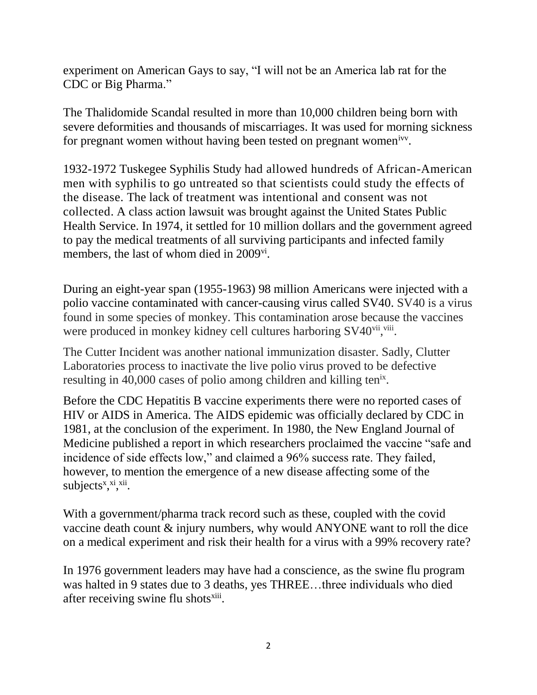experiment on American Gays to say, "I will not be an America lab rat for the CDC or Big Pharma."

The Thalidomide Scandal resulted in more than 10,000 children being born with severe deformities and thousands of miscarriages. It was used for morning sickness for pregnant women without having been tested on pregnant women<sup>ivy</sup>.

1932-1972 Tuskegee Syphilis Study had allowed hundreds of African-American men with syphilis to go untreated so that scientists could study the effects of the disease. The lack of treatment was intentional and consent was not collected. A class action lawsuit was brought against the United States Public Health Service. In 1974, it settled for [10 million dollars](http://time.com/4867267/tuskegee-syphilis-study/) and the government agreed to pay the medical treatments of all surviving participants and infected family members, the last of whom died in 2009<sup>vi</sup>.

During an eight-year span (1955-1963) 98 million Americans were injected with a polio vaccine contaminated with cancer-causing virus called SV40. SV40 is a virus found in some species of monkey. This contamination arose because the vaccines were produced in monkey kidney cell cultures harboring SV40vii,viii.

The Cutter Incident was another national immunization disaster. Sadly, Clutter Laboratories process to inactivate the live polio virus proved to be defective resulting in 40,000 cases of polio among children and killing ten<sup>ix</sup>.

Before the CDC Hepatitis B vaccine experiments there were no reported cases of HIV or AIDS in America. The AIDS epidemic was officially declared by CDC in 1981, at the conclusion of the experiment. In 1980, the New England Journal of Medicine published a report in which researchers proclaimed the vaccine "safe and incidence of side effects low," and claimed a 96% success rate. They failed, however, to mention the emergence of a new disease affecting some of the subjects<sup>x</sup>,<sup>xi</sup>,<sup>xii</sup>.

With a government/pharma track record such as these, coupled with the covid vaccine death count & injury numbers, why would ANYONE want to roll the dice on a medical experiment and risk their health for a virus with a 99% recovery rate?

In 1976 government leaders may have had a conscience, as the swine flu program was halted in 9 states due to 3 deaths, yes THREE...three individuals who died after receiving swine flu shots<sup>xiii</sup>.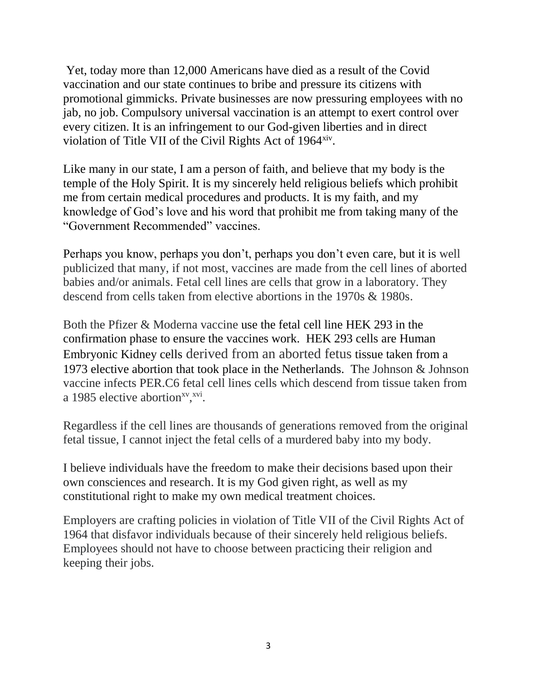Yet, today more than 12,000 Americans have died as a result of the Covid vaccination and our state continues to bribe and pressure its citizens with promotional gimmicks. Private businesses are now pressuring employees with no jab, no job. Compulsory universal vaccination is an attempt to exert control over every citizen. It is an infringement to our God-given liberties and in direct violation of Title VII of the Civil Rights Act of 1964<sup>xiv</sup>.

Like many in our state, I am a person of faith, and believe that my body is the temple of the Holy Spirit. It is my sincerely held religious beliefs which prohibit me from certain medical procedures and products. It is my faith, and my knowledge of God's love and his word that prohibit me from taking many of the "Government Recommended" vaccines.

Perhaps you know, perhaps you don't, perhaps you don't even care, but it is well publicized that many, if not most, vaccines are made from the cell lines of aborted babies and/or animals. Fetal cell lines are cells that grow in a laboratory. They descend from cells taken from elective abortions in the 1970s & 1980s.

Both the Pfizer & Moderna vaccine use the fetal cell line HEK 293 in the confirmation phase to ensure the vaccines work. HEK 293 cells are Human Embryonic Kidney cells derived from an aborted fetus tissue taken from a 1973 elective abortion that took place in the Netherlands. The Johnson & Johnson vaccine infects PER.C6 fetal cell lines cells which descend from tissue taken from a 1985 elective abortion<sup>xv</sup>, xvi.

Regardless if the cell lines are thousands of generations removed from the original fetal tissue, I cannot inject the fetal cells of a murdered baby into my body.

I believe individuals have the freedom to make their decisions based upon their own consciences and research. It is my God given right, as well as my constitutional right to make my own medical treatment choices.

Employers are crafting policies in violation of Title VII of the Civil Rights Act of 1964 that disfavor individuals because of their sincerely held religious beliefs. Employees should not have to choose between practicing their religion and keeping their jobs.